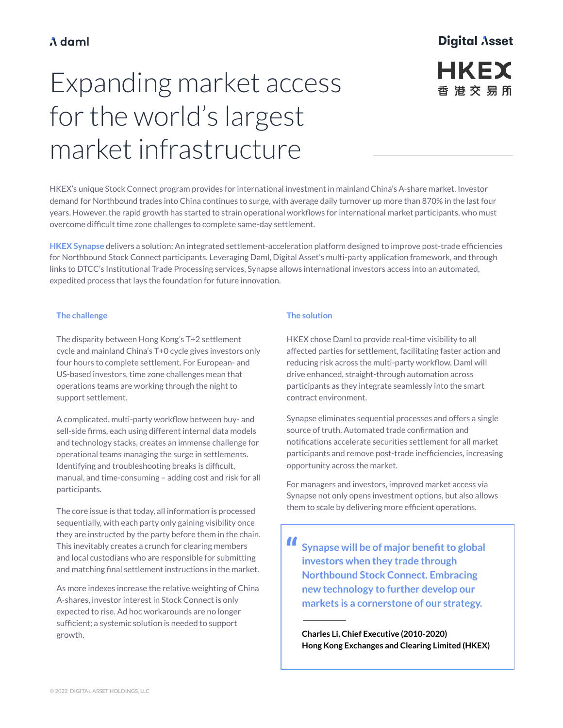#### A daml

## **Digital Asset HKEX** 香港交易所

# Expanding market access for the world's largest market infrastructure

HKEX's unique Stock Connect program provides for international investment in mainland China's A-share market. Investor demand for Northbound trades into China continues to surge, with average daily turnover up more than 870% in the last four years. However, the rapid growth has started to strain operational workflows for international market participants, who must overcome difficult time zone challenges to complete same-day settlement.

**HKEX Synapse** delivers a solution: An integrated settlement-acceleration platform designed to improve post-trade efficiencies for Northbound Stock Connect participants. Leveraging Daml, Digital Asset's multi-party application framework, and through links to DTCC's Institutional Trade Processing services, Synapse allows international investors access into an automated, expedited process that lays the foundation for future innovation.

#### **The challenge**

The disparity between Hong Kong's T+2 settlement cycle and mainland China's T+0 cycle gives investors only four hours to complete settlement. For European- and US-based investors, time zone challenges mean that operations teams are working through the night to support settlement.

A complicated, multi-party workflow between buy- and sell-side firms, each using different internal data models and technology stacks, creates an immense challenge for operational teams managing the surge in settlements. Identifying and troubleshooting breaks is difficult, manual, and time-consuming – adding cost and risk for all participants.

The core issue is that today, all information is processed sequentially, with each party only gaining visibility once they are instructed by the party before them in the chain. This inevitably creates a crunch for clearing members and local custodians who are responsible for submitting and matching final settlement instructions in the market.

As more indexes increase the relative weighting of China A-shares, investor interest in Stock Connect is only expected to rise. Ad hoc workarounds are no longer sufficient; a systemic solution is needed to support growth.

#### **The solution**

HKEX chose Daml to provide real-time visibility to all affected parties for settlement, facilitating faster action and reducing risk across the multi-party workflow. Daml will drive enhanced, straight-through automation across participants as they integrate seamlessly into the smart contract environment.

Synapse eliminates sequential processes and offers a single source of truth. Automated trade confirmation and notifications accelerate securities settlement for all market participants and remove post-trade inefficiencies, increasing opportunity across the market.

For managers and investors, improved market access via Synapse not only opens investment options, but also allows them to scale by delivering more efficient operations.

**" Synapse will be of major benefit to global investors when they trade through Northbound Stock Connect. Embracing new technology to further develop our markets is a cornerstone of our strategy.**

**Charles Li, Chief Executive (2010-2020) Hong Kong Exchanges and Clearing Limited (HKEX)**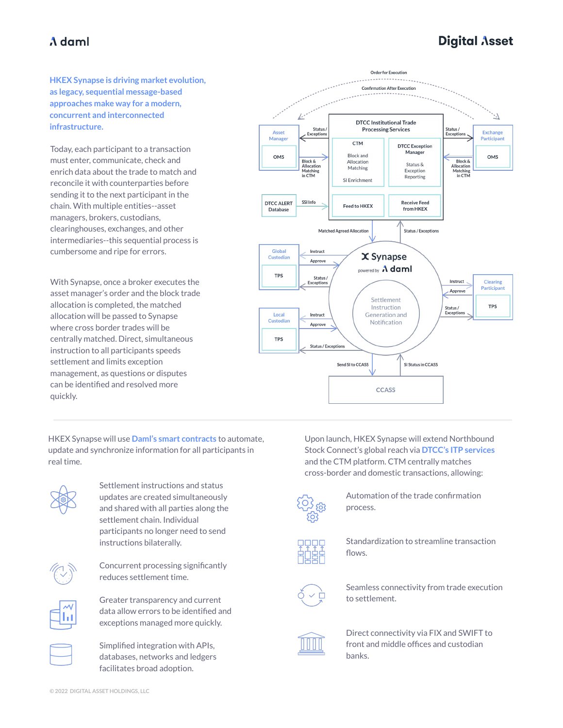### A daml

## **Digital Asset**

**HKEX Synapse is driving market evolution, as legacy, sequential message-based approaches make way for a modern, concurrent and interconnected infrastructure.** 

Today, each participant to a transaction must enter, communicate, check and enrich data about the trade to match and reconcile it with counterparties before sending it to the next participant in the chain. With multiple entities--asset managers, brokers, custodians, clearinghouses, exchanges, and other intermediaries--this sequential process is cumbersome and ripe for errors.

With Synapse, once a broker executes the asset manager's order and the block trade allocation is completed, the matched allocation will be passed to Synapse where cross border trades will be centrally matched. Direct, simultaneous instruction to all participants speeds settlement and limits exception management, as questions or disputes can be identified and resolved more quickly.

HKEX Synapse will use **[Daml's smart contracts](http://www.daml.com)** to automate, update and synchronize information for all participants in real time.



Settlement instructions and status updates are created simultaneously and shared with all parties along the settlement chain. Individual participants no longer need to send instructions bilaterally.



Concurrent processing significantly reduces settlement time.



Greater transparency and current data allow errors to be identified and exceptions managed more quickly.

Simplified integration with APIs, databases, networks and ledgers facilitates broad adoption.



Upon launch, HKEX Synapse will extend Northbound Stock Connect's global reach via **[DTCC's ITP](https://www.dtcc.com/about/businesses-and-subsidiaries/dtccitp) services** and the CTM platform. CTM centrally matches cross-border and domestic transactions, allowing:



Automation of the trade confirmation process.



Standardization to streamline transaction flows.



Seamless connectivity from trade execution to settlement.



Direct connectivity via FIX and SWIFT to front and middle offices and custodian banks.